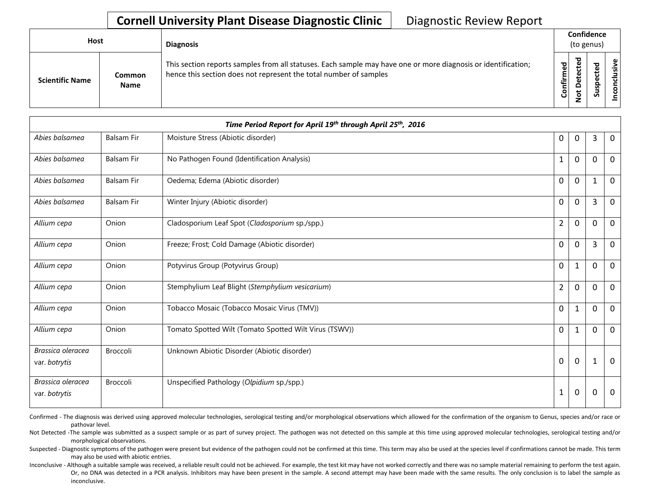## **Cornell University Plant Disease Diagnostic Clinic** | Diagnostic Review Report

| Host                   |                       |                                                                                                                                                                                    |           | <b>Diagnosis</b> |   | Confidence<br>(to genus) |  |  |
|------------------------|-----------------------|------------------------------------------------------------------------------------------------------------------------------------------------------------------------------------|-----------|------------------|---|--------------------------|--|--|
| <b>Scientific Name</b> | Common<br><b>Name</b> | This section reports samples from all statuses. Each sample may have one or more diagnosis or identification;<br>hence this section does not represent the total number of samples | Confirmed | ᇃ<br>≏           | s | usive<br>᠊ᠣ<br>c<br>g    |  |  |

|                                    |                   | Time Period Report for April 19th through April 25th, 2016 |                |             |          |             |
|------------------------------------|-------------------|------------------------------------------------------------|----------------|-------------|----------|-------------|
| Abies balsamea                     | <b>Balsam Fir</b> | Moisture Stress (Abiotic disorder)                         | 0              | 0           | 3        | $\mathbf 0$ |
| Abies balsamea                     | Balsam Fir        | No Pathogen Found (Identification Analysis)                |                | 0           | $\Omega$ | $\mathbf 0$ |
| Abies balsamea                     | <b>Balsam Fir</b> | Oedema; Edema (Abiotic disorder)                           | $\mathbf 0$    | $\mathbf 0$ | 1        | 0           |
| Abies balsamea                     | <b>Balsam Fir</b> | Winter Injury (Abiotic disorder)                           | $\mathbf 0$    | $\mathbf 0$ | 3        | $\mathbf 0$ |
| Allium cepa                        | Onion             | Cladosporium Leaf Spot (Cladosporium sp./spp.)             | $\overline{2}$ | 0           | $\Omega$ | 0           |
| Allium cepa                        | Onion             | Freeze; Frost; Cold Damage (Abiotic disorder)              | 0              | 0           | 3        | $\mathbf 0$ |
| Allium cepa                        | Onion             | Potyvirus Group (Potyvirus Group)                          | $\mathbf 0$    | 1           | $\Omega$ | 0           |
| Allium cepa                        | Onion             | Stemphylium Leaf Blight (Stemphylium vesicarium)           | $\overline{2}$ | 0           | $\Omega$ | $\mathbf 0$ |
| Allium cepa                        | Onion             | Tobacco Mosaic (Tobacco Mosaic Virus (TMV))                | $\mathbf 0$    | 1           | $\Omega$ | 0           |
| Allium cepa                        | Onion             | Tomato Spotted Wilt (Tomato Spotted Wilt Virus (TSWV))     | $\mathbf 0$    | $\mathbf 1$ | $\Omega$ | $\mathbf 0$ |
| Brassica oleracea<br>var. botrytis | <b>Broccoli</b>   | Unknown Abiotic Disorder (Abiotic disorder)                | 0              | $\mathbf 0$ | 1        | $\mathbf 0$ |
| Brassica oleracea<br>var. botrytis | <b>Broccoli</b>   | Unspecified Pathology (Olpidium sp./spp.)                  | 1              | 0           | $\Omega$ | $\mathbf 0$ |

Confirmed - The diagnosis was derived using approved molecular technologies, serological testing and/or morphological observations which allowed for the confirmation of the organism to Genus, species and/or race or pathovar level.

Not Detected -The sample was submitted as a suspect sample or as part of survey project. The pathogen was not detected on this sample at this time using approved molecular technologies, serological testing and/or morphological observations.

Suspected - Diagnostic symptoms of the pathogen were present but evidence of the pathogen could not be confirmed at this time. This term may also be used at the species level if confirmations cannot be made. This term may also be used with abiotic entries.

Inconclusive - Although a suitable sample was received, a reliable result could not be achieved. For example, the test kit may have not worked correctly and there was no sample material remaining to perform the test again. Or, no DNA was detected in a PCR analysis. Inhibitors may have been present in the sample. A second attempt may have been made with the same results. The only conclusion is to label the sample as inconclusive.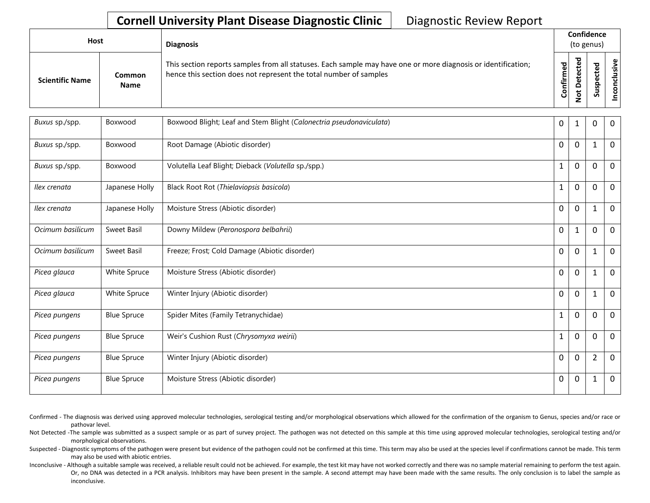## **Cornell University Plant Disease Diagnostic Clinic** | Diagnostic Review Report

| Host |                        |                       | <b>Diagnosis</b>                                                                                                                                                                   |           | Confidence<br>(to genus) |                                 |            |  |
|------|------------------------|-----------------------|------------------------------------------------------------------------------------------------------------------------------------------------------------------------------------|-----------|--------------------------|---------------------------------|------------|--|
|      | <b>Scientific Name</b> | Common<br><b>Name</b> | This section reports samples from all statuses. Each sample may have one or more diagnosis or identification;<br>hence this section does not represent the total number of samples | Confirmed | ᇃ<br>$\circ$<br>سه       | ъ<br>Φ<br>∸<br>o<br>௨<br>š<br>n | usive<br>۰ |  |

| Buxus sp./spp.   | Boxwood            | Boxwood Blight; Leaf and Stem Blight (Calonectria pseudonaviculata) | 0            | 1                | 0              | $\mathbf 0$ |
|------------------|--------------------|---------------------------------------------------------------------|--------------|------------------|----------------|-------------|
| Buxus sp./spp.   | Boxwood            | Root Damage (Abiotic disorder)                                      | 0            | $\mathbf 0$      |                | 0           |
| Buxus sp./spp.   | Boxwood            | Volutella Leaf Blight; Dieback (Volutella sp./spp.)                 | 1            | $\mathbf 0$      | $\mathbf 0$    | $\mathbf 0$ |
| Ilex crenata     | Japanese Holly     | Black Root Rot (Thielaviopsis basicola)                             | 1            | $\mathbf 0$      | $\mathbf 0$    | 0           |
| Ilex crenata     | Japanese Holly     | Moisture Stress (Abiotic disorder)                                  | 0            | $\mathbf 0$      |                | 0           |
| Ocimum basilicum | Sweet Basil        | Downy Mildew (Peronospora belbahrii)                                | 0            | 1                | 0              | $\mathbf 0$ |
| Ocimum basilicum | Sweet Basil        | Freeze; Frost; Cold Damage (Abiotic disorder)                       | 0            | $\mathbf 0$      | $\mathbf{1}$   | $\mathbf 0$ |
| Picea glauca     | White Spruce       | Moisture Stress (Abiotic disorder)                                  | $\mathbf 0$  | $\mathbf 0$      |                | 0           |
| Picea glauca     | White Spruce       | Winter Injury (Abiotic disorder)                                    | 0            | $\mathbf 0$      |                | $\mathbf 0$ |
| Picea pungens    | <b>Blue Spruce</b> | Spider Mites (Family Tetranychidae)                                 | 1            | $\boldsymbol{0}$ | $\mathbf 0$    | $\mathbf 0$ |
| Picea pungens    | <b>Blue Spruce</b> | Weir's Cushion Rust (Chrysomyxa weirii)                             | $\mathbf{1}$ | $\mathbf 0$      | 0              | $\mathbf 0$ |
| Picea pungens    | <b>Blue Spruce</b> | Winter Injury (Abiotic disorder)                                    | 0            | $\mathbf 0$      | $\overline{2}$ | 0           |
| Picea pungens    | <b>Blue Spruce</b> | Moisture Stress (Abiotic disorder)                                  | 0            | 0                | $\mathbf{1}$   | 0           |

- Confirmed The diagnosis was derived using approved molecular technologies, serological testing and/or morphological observations which allowed for the confirmation of the organism to Genus, species and/or race or pathovar level.
- Not Detected -The sample was submitted as a suspect sample or as part of survey project. The pathogen was not detected on this sample at this time using approved molecular technologies, serological testing and/or morphological observations.
- Suspected Diagnostic symptoms of the pathogen were present but evidence of the pathogen could not be confirmed at this time. This term may also be used at the species level if confirmations cannot be made. This term may also be used with abiotic entries.
- Inconclusive Although a suitable sample was received, a reliable result could not be achieved. For example, the test kit may have not worked correctly and there was no sample material remaining to perform the test again. Or, no DNA was detected in a PCR analysis. Inhibitors may have been present in the sample. A second attempt may have been made with the same results. The only conclusion is to label the sample as inconclusive.